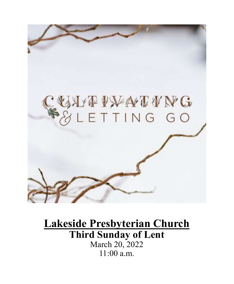

# **Lakeside Presbyterian Church Third Sunday of Lent** March 20, 2022 11:00 a.m.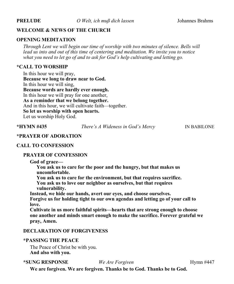## **WELCOME & NEWS OF THE CHURCH**

### **OPENING MEDITATION**

*Through Lent we will begin our time of worship with two minutes of silence. Bells will lead us into and out of this time of centering and meditation. We invite you to notice what you need to let go of and to ask for God's help cultivating and letting go.*

## **\*CALL TO WORSHIP**

In this hour we will pray, **Because we long to draw near to God.** In this hour we will sing, **Because words are hardly ever enough.** In this hour we will pray for one another, **As a reminder that we belong together.** And in this hour, we will cultivate faith—together. **So let us worship with open hearts.** Let us worship Holy God.

**\*HYMN #435** *There's A Wideness in God's Mercy* IN BABILONE

#### **\*PRAYER OF ADORATION**

#### **CALL TO CONFESSION**

#### **PRAYER OF CONFESSION**

#### **God of grace—**

**You ask us to care for the poor and the hungry, but that makes us uncomfortable.** 

**You ask us to care for the environment, but that requires sacrifice.** 

**You ask us to love our neighbor as ourselves, but that requires vulnerability.**

**Instead, we hide our hands, avert our eyes, and choose ourselves. Forgive us for holding tight to our own agendas and letting go of your call to love.**

**Cultivate in us more faithful spirits—hearts that are strong enough to choose one another and minds smart enough to make the sacrifice. Forever grateful we pray, Amen.**

#### **DECLARATION OF FORGIVENESS**

#### **\*PASSING THE PEACE**

The Peace of Christ be with you. **And also with you.**

**\*SUNG RESPONSE** *We Are Forgiven* Hymn #447

**We are forgiven. We are forgiven. Thanks be to God. Thanks be to God.**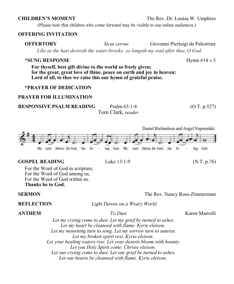(Please note that children who come forward may be visible to our online audiences.)

#### **OFFERING INVITATION**

**OFFERTORY** *Sicut cervus* Giovanni Pierluigi da Palestrina *Like as the hart desireth the water-brooks: so longeth my soul after thee, O God.*

#### **\*SUNG RESPONSE** Hymn #14 v.5

**For thyself, best gift divine to the world so freely given; for the great, great love of thine, peace on earth and joy in heaven: Lord of all, to thee we raise this our hymn of grateful praise.**

#### **\*PRAYER OF DEDICATION**

#### **PRAYER FOR ILLUMINATION**

## **RESPONSIVE PSALM READING** Psalm 63:1-8 (O.T. p.527)

# Tom Clark, *reader*



ing God.

My soul thirsts for God, the liv My soul thirsts for God, the ing God. liv

#### **GOSPEL READING** Luke 13:1-9 (N.T. p.76)

For the Word of God in scripture, For the Word of God among us, For the Word of God within us. **Thanks be to God.**

#### **SERMON** The Rev. Nancy Ross-Zimmerman

**REFLECTION** *Light Dawns on a Weary World*

**ANTHEM** *To Dust* Karen Marrolli

*Let my crying come to dust. Let my grief be turned to ashes. Let my heart be cleansed with flame. Kyrie eleison. Let my mourning turn to song. Let my sorrow turn to sunrise. Let my broken spirit rest. Kyrie eleison. Let your healing waters rise. Let your deserts bloom with bounty. Let you Holy Spirit come. Christe eleison. Let our crying come to dust. Let our grief be turned to ashes. Let our hearts be cleansed with flame. Kyrie eleison.*

**CHILDREN'S MOMENT** The Rev. Dr. Louisa W. Umphres

# Daniel Richardson and Angel Napieralski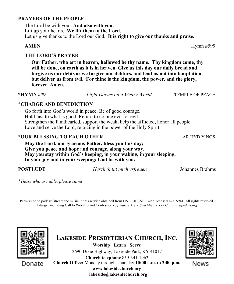## **PRAYERS OF THE PEOPLE**

The Lord be with you. **And also with you.** Lift up your hearts. **We lift them to the Lord.** Let us give thanks to the Lord our God. **It is right to give our thanks and praise.**

**THE LORD'S PRAYER** 

**Our Father, who art in heaven, hallowed be thy name. Thy kingdom come, thy will be done, on earth as it is in heaven. Give us this day our daily bread and forgive us our debts as we forgive our debtors, and lead us not into temptation, but deliver us from evil. For thine is the kingdom, the power, and the glory, forever. Amen.**

**\*HYMN #79** *Light Dawns on a Weary World* TEMPLE OF PEACE

## **\*CHARGE AND BENEDICTION**

Go forth into God's world in peace. Be of good courage. Hold fast to what is good. Return to no one evil for evil. Strengthen the fainthearted, support the weak, help the afflicted, honor all people. Love and serve the Lord, rejoicing in the power of the Holy Spirit.

## **\*OUR BLESSING TO EACH OTHER** AR HYD Y NOS

**May the Lord, our gracious Father, bless you this day; Give you peace and hope and courage, along your way. May you stay within God's keeping, in your waking, in your sleeping. In your joy and in your weeping: God be with you.**

**POSTLUDE** *Herzlich tut mich erfreuen* Johannes Brahms

*\*Those who are able, please stand*

Permission to podcast/stream the music in this service obtained from ONE LICENSE with license #A-715941. All rights reserved. Liturgy (including Call to Worship and Confession) by *Sarah Are A Sanctified Art LLC | sanctifiedart.org*



**Lakeside Presbyterian Church, Inc.** 

**Worship · Learn · Serve** 2690 Dixie Highway, Lakeside Park, KY 41017 **Church telephone** 859-341-1963 **Church Office:** Monday through Thursday **10:00 a.m. to 2:00 p.m. www.lakesidechurch.org lakeside@lakesidechurch.org**



News

**AMEN** Hymn #599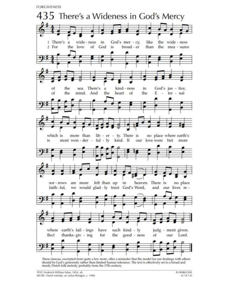**FORGIVENESS** 



should be God's generosity rather than limited human tolerance. The text is effectively set to a broad and sturdy Dutch folk melody, probably from the 17th century.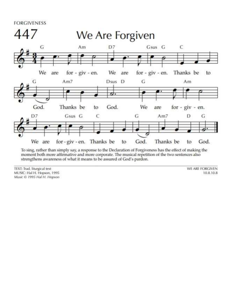**FORGIVENESS** 



To sing, rather than simply say, a response to the Declaration of Forgiveness has the effect of making the moment both more affirmative and more corporate. The musical repetition of the two sentences also strengthens awareness of what it means to be assured of God's pardon.

TEXT: Trad. liturgical text MUSIC: Hal H. Hopson, 1995 Music @ 1995 Hal H. Hopson WE ARE FORGIVEN 10.8.10.8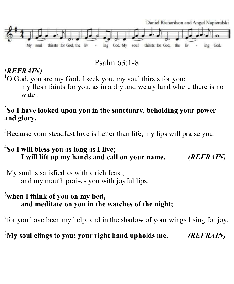

Psalm 63:1-8

# *(REFRAIN)*

<sup>1</sup>O God, you are my God, I seek you, my soul thirsts for you;

my flesh faints for you, as in a dry and weary land where there is no water.

# 2 **So I have looked upon you in the sanctuary, beholding your power and glory.**

<sup>3</sup>Because your steadfast love is better than life, my lips will praise you.

# 4 **So I will bless you as long as I live; I will lift up my hands and call on your name.** *(REFRAIN)*

<sup>5</sup>My soul is satisfied as with a rich feast, and my mouth praises you with joyful lips.

## <sup>6</sup>**when I think of you on my bed, and meditate on you in the watches of the night;**

<sup>7</sup> for you have been my help, and in the shadow of your wings I sing for joy.

<sup>8</sup>**My soul clings to you; your right hand upholds me.** *(REFRAIN)*